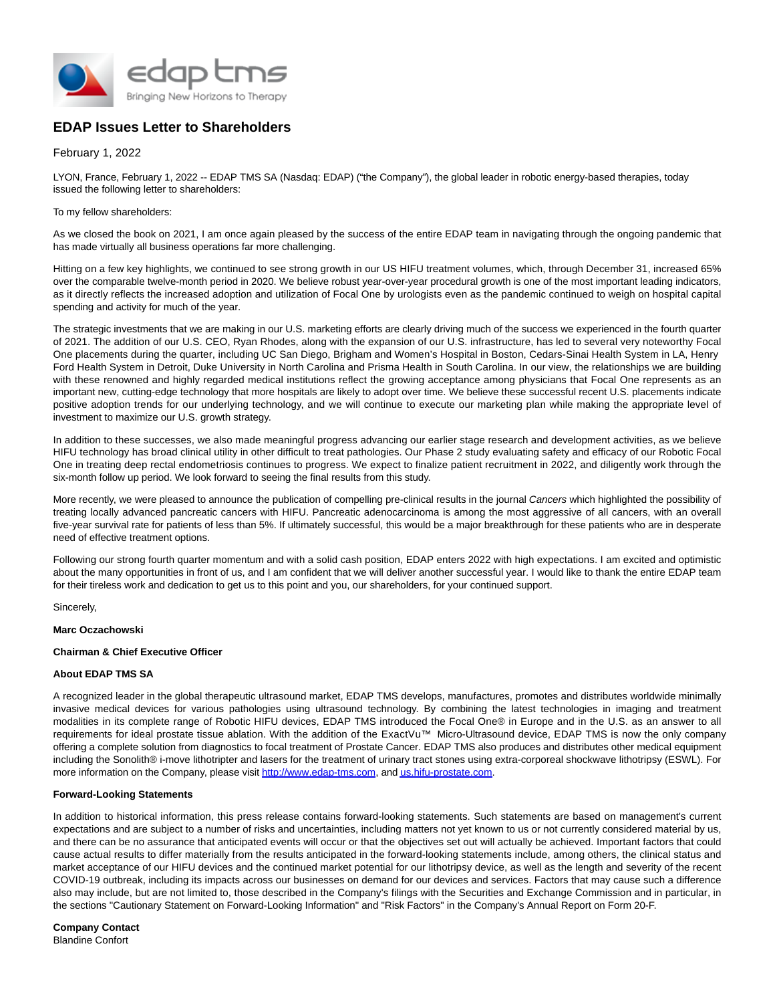

# **EDAP Issues Letter to Shareholders**

### February 1, 2022

LYON, France, February 1, 2022 -- EDAP TMS SA (Nasdaq: EDAP) ("the Company"), the global leader in robotic energy-based therapies, today issued the following letter to shareholders:

To my fellow shareholders:

As we closed the book on 2021, I am once again pleased by the success of the entire EDAP team in navigating through the ongoing pandemic that has made virtually all business operations far more challenging.

Hitting on a few key highlights, we continued to see strong growth in our US HIFU treatment volumes, which, through December 31, increased 65% over the comparable twelve-month period in 2020. We believe robust year-over-year procedural growth is one of the most important leading indicators, as it directly reflects the increased adoption and utilization of Focal One by urologists even as the pandemic continued to weigh on hospital capital spending and activity for much of the year.

The strategic investments that we are making in our U.S. marketing efforts are clearly driving much of the success we experienced in the fourth quarter of 2021. The addition of our U.S. CEO, Ryan Rhodes, along with the expansion of our U.S. infrastructure, has led to several very noteworthy Focal One placements during the quarter, including UC San Diego, Brigham and Women's Hospital in Boston, Cedars-Sinai Health System in LA, Henry Ford Health System in Detroit, Duke University in North Carolina and Prisma Health in South Carolina. In our view, the relationships we are building with these renowned and highly regarded medical institutions reflect the growing acceptance among physicians that Focal One represents as an important new, cutting-edge technology that more hospitals are likely to adopt over time. We believe these successful recent U.S. placements indicate positive adoption trends for our underlying technology, and we will continue to execute our marketing plan while making the appropriate level of investment to maximize our U.S. growth strategy.

In addition to these successes, we also made meaningful progress advancing our earlier stage research and development activities, as we believe HIFU technology has broad clinical utility in other difficult to treat pathologies. Our Phase 2 study evaluating safety and efficacy of our Robotic Focal One in treating deep rectal endometriosis continues to progress. We expect to finalize patient recruitment in 2022, and diligently work through the six-month follow up period. We look forward to seeing the final results from this study.

More recently, we were pleased to announce the publication of compelling pre-clinical results in the journal Cancers which highlighted the possibility of treating locally advanced pancreatic cancers with HIFU. Pancreatic adenocarcinoma is among the most aggressive of all cancers, with an overall five-year survival rate for patients of less than 5%. If ultimately successful, this would be a major breakthrough for these patients who are in desperate need of effective treatment options.

Following our strong fourth quarter momentum and with a solid cash position, EDAP enters 2022 with high expectations. I am excited and optimistic about the many opportunities in front of us, and I am confident that we will deliver another successful year. I would like to thank the entire EDAP team for their tireless work and dedication to get us to this point and you, our shareholders, for your continued support.

Sincerely,

#### **Marc Oczachowski**

#### **Chairman & Chief Executive Officer**

#### **About EDAP TMS SA**

A recognized leader in the global therapeutic ultrasound market, EDAP TMS develops, manufactures, promotes and distributes worldwide minimally invasive medical devices for various pathologies using ultrasound technology. By combining the latest technologies in imaging and treatment modalities in its complete range of Robotic HIFU devices, EDAP TMS introduced the Focal One® in Europe and in the U.S. as an answer to all requirements for ideal prostate tissue ablation. With the addition of the ExactVu™ Micro-Ultrasound device, EDAP TMS is now the only company offering a complete solution from diagnostics to focal treatment of Prostate Cancer. EDAP TMS also produces and distributes other medical equipment including the Sonolith® i-move lithotripter and lasers for the treatment of urinary tract stones using extra-corporeal shockwave lithotripsy (ESWL). For more information on the Company, please visi[t http://www.edap-tms.com,](https://www.globenewswire.com/Tracker?data=5hGypdCNOJwrMLnhuwnP-91iV49tNpp5KL_9tetq2vgmZmZ16myNfQesQOYSw_DBcB6FDtfwYU8QZvkk_UgZ2-e7WgGOdfCoG7DTmqpNvIV_ZIQxvRejoYCOLtTuX5LViRiQXpEG3yJfW526Zj-k9hi_U5Pf9hwGO1A2if6HHHqUubbMFZ-T6AGhZT14rCSRpANfEMQCrom-WN6maRyI1o-6QSgIdAJR0Tj9qTSfesXiNs-b-adf_h6g9QJIJlo59_w1e_VodMmcem-Aaud_RQ==) an[d us.hifu-prostate.com.](https://www.globenewswire.com/Tracker?data=QYtlGzpZcdMtntpXSkDqs_AAGNZyhdAw2iaplV5Mfq4_bdl3QaBssWcHxdRVo7gBev-8JX62s8GHNfmfE12m08mgMhrVbyUYyC8DEsw99DtZxT7LTq3JW3wqZqNOnUuHqCBla6hC1iA4BskUyjwAmfqxEN6t1vqGo0lMQ4V_xWqXS2NF5C-uRu0FF_tAzQM1SvHcYykpWf6Rszo4yvSvqOLGlBfeFqtaYhtUQOGIRRnP7kU8YVcrZXUJFfn-LEHUVwcGLg0_OMKygBIhr-uW-A==)

#### **Forward-Looking Statements**

In addition to historical information, this press release contains forward-looking statements. Such statements are based on management's current expectations and are subject to a number of risks and uncertainties, including matters not yet known to us or not currently considered material by us, and there can be no assurance that anticipated events will occur or that the objectives set out will actually be achieved. Important factors that could cause actual results to differ materially from the results anticipated in the forward-looking statements include, among others, the clinical status and market acceptance of our HIFU devices and the continued market potential for our lithotripsy device, as well as the length and severity of the recent COVID-19 outbreak, including its impacts across our businesses on demand for our devices and services. Factors that may cause such a difference also may include, but are not limited to, those described in the Company's filings with the Securities and Exchange Commission and in particular, in the sections "Cautionary Statement on Forward-Looking Information" and "Risk Factors" in the Company's Annual Report on Form 20-F.

**Company Contact** Blandine Confort